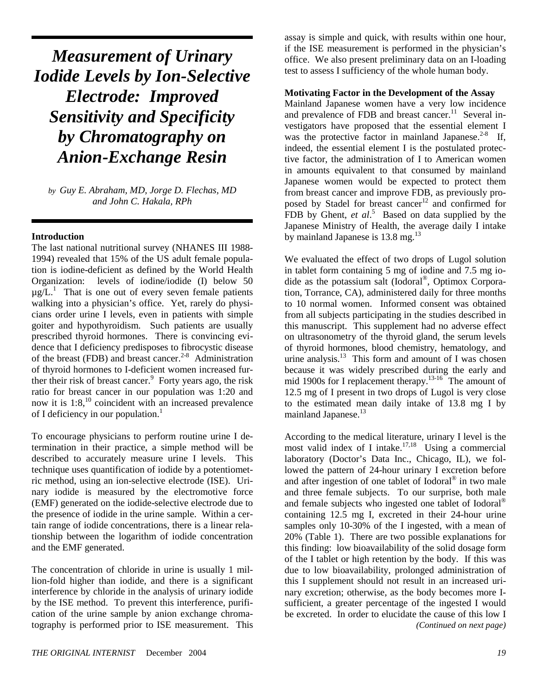*Measurement of Urinary Iodide Levels by Ion-Selective Electrode: Improved Sensitivity and Specificity by Chromatography on Anion-Exchange Resin* 

*by Guy E. Abraham, MD, Jorge D. Flechas, MD and John C. Hakala, RPh*

### **Introduction**

The last national nutritional survey (NHANES III 1988- 1994) revealed that 15% of the US adult female population is iodine-deficient as defined by the World Health Organization: levels of iodine/iodide (I) below 50  $\mu$ g/L.<sup>1</sup> That is one out of every seven female patients walking into a physician's office. Yet, rarely do physicians order urine I levels, even in patients with simple goiter and hypothyroidism. Such patients are usually prescribed thyroid hormones. There is convincing evidence that I deficiency predisposes to fibrocystic disease of the breast (FDB) and breast cancer.<sup>2-8</sup> Administration of thyroid hormones to I-deficient women increased further their risk of breast cancer.<sup>9</sup> Forty years ago, the risk ratio for breast cancer in our population was 1:20 and now it is  $1:8$ ,<sup>10</sup> coincident with an increased prevalence of I deficiency in our population.<sup>1</sup>

To encourage physicians to perform routine urine I determination in their practice, a simple method will be described to accurately measure urine I levels. This technique uses quantification of iodide by a potentiometric method, using an ion-selective electrode (ISE). Urinary iodide is measured by the electromotive force (EMF) generated on the iodide-selective electrode due to the presence of iodide in the urine sample. Within a certain range of iodide concentrations, there is a linear relationship between the logarithm of iodide concentration and the EMF generated.

The concentration of chloride in urine is usually 1 million-fold higher than iodide, and there is a significant interference by chloride in the analysis of urinary iodide by the ISE method. To prevent this interference, purification of the urine sample by anion exchange chromatography is performed prior to ISE measurement. This assay is simple and quick, with results within one hour, if the ISE measurement is performed in the physician's office. We also present preliminary data on an I-loading test to assess I sufficiency of the whole human body.

#### **Motivating Factor in the Development of the Assay**

Mainland Japanese women have a very low incidence and prevalence of FDB and breast cancer. $11$  Several investigators have proposed that the essential element I was the protective factor in mainland Japanese. $2-8$  If, indeed, the essential element I is the postulated protective factor, the administration of I to American women in amounts equivalent to that consumed by mainland Japanese women would be expected to protect them from breast cancer and improve FDB, as previously proposed by Stadel for breast cancer<sup>12</sup> and confirmed for FDB by Ghent, *et al.*<sup>5</sup> Based on data supplied by the Japanese Ministry of Health, the average daily I intake by mainland Japanese is 13.8 mg.<sup>13</sup>

We evaluated the effect of two drops of Lugol solution in tablet form containing 5 mg of iodine and 7.5 mg iodide as the potassium salt (Iodoral®, Optimox Corporation, Torrance, CA), administered daily for three months to 10 normal women. Informed consent was obtained from all subjects participating in the studies described in this manuscript. This supplement had no adverse effect on ultrasonometry of the thyroid gland, the serum levels of thyroid hormones, blood chemistry, hematology, and urine analysis. $13$  This form and amount of I was chosen because it was widely prescribed during the early and mid 1900s for I replacement therapy.<sup>13-16</sup> The amount of 12.5 mg of I present in two drops of Lugol is very close to the estimated mean daily intake of 13.8 mg I by mainland Japanese.<sup>13</sup>

According to the medical literature, urinary I level is the most valid index of I intake.<sup>17,18</sup> Using a commercial laboratory (Doctor's Data Inc., Chicago, IL), we followed the pattern of 24-hour urinary I excretion before and after ingestion of one tablet of Iodoral® in two male and three female subjects. To our surprise, both male and female subjects who ingested one tablet of Iodoral® containing 12.5 mg I, excreted in their 24-hour urine samples only 10-30% of the I ingested, with a mean of 20% (Table 1). There are two possible explanations for this finding: low bioavailability of the solid dosage form of the I tablet or high retention by the body. If this was due to low bioavailability, prolonged administration of this I supplement should not result in an increased urinary excretion; otherwise, as the body becomes more Isufficient, a greater percentage of the ingested I would be excreted. In order to elucidate the cause of this low I *(Continued on next page)*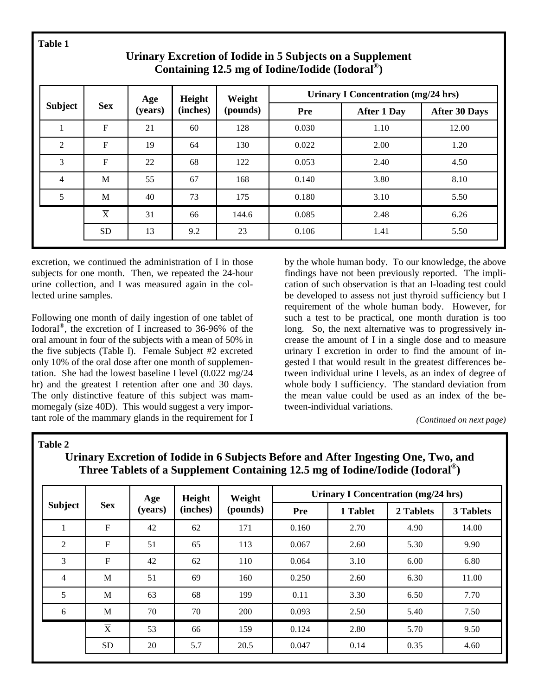**Table 1** 

|                          |                | Age     | Height   | Weight   | <b>Urinary I Concentration (mg/24 hrs)</b> |                    |                      |  |
|--------------------------|----------------|---------|----------|----------|--------------------------------------------|--------------------|----------------------|--|
| <b>Subject</b>           | <b>Sex</b>     | (years) | (inches) | (pounds) | Pre                                        | <b>After 1 Day</b> | <b>After 30 Days</b> |  |
| 1                        | $\mathbf F$    | 21      | 60       | 128      | 0.030                                      | 1.10               | 12.00                |  |
| $\overline{2}$           | $\mathbf{F}$   | 19      | 64       | 130      | 0.022                                      | 2.00               | 1.20                 |  |
| 3                        | $\mathbf F$    | 22      | 68       | 122      | 0.053                                      | 2.40               | 4.50                 |  |
| $\overline{\mathcal{A}}$ | M              | 55      | 67       | 168      | 0.140                                      | 3.80               | 8.10                 |  |
| 5                        | M              | 40      | 73       | 175      | 0.180                                      | 3.10               | 5.50                 |  |
|                          | $\overline{X}$ | 31      | 66       | 144.6    | 0.085                                      | 2.48               | 6.26                 |  |
|                          | <b>SD</b>      | 13      | 9.2      | 23       | 0.106                                      | 1.41               | 5.50                 |  |

# **Urinary Excretion of Iodide in 5 Subjects on a Supplement Containing 12.5 mg of Iodine/Iodide (Iodoral®)**

excretion, we continued the administration of I in those subjects for one month. Then, we repeated the 24-hour urine collection, and I was measured again in the collected urine samples.

Following one month of daily ingestion of one tablet of Iodoral®, the excretion of I increased to 36-96% of the oral amount in four of the subjects with a mean of 50% in the five subjects (Table I). Female Subject #2 excreted only 10% of the oral dose after one month of supplementation. She had the lowest baseline I level (0.022 mg/24 hr) and the greatest I retention after one and 30 days. The only distinctive feature of this subject was mammomegaly (size 40D). This would suggest a very important role of the mammary glands in the requirement for I by the whole human body. To our knowledge, the above findings have not been previously reported. The implication of such observation is that an I-loading test could be developed to assess not just thyroid sufficiency but I requirement of the whole human body. However, for such a test to be practical, one month duration is too long. So, the next alternative was to progressively increase the amount of I in a single dose and to measure urinary I excretion in order to find the amount of ingested I that would result in the greatest differences between individual urine I levels, as an index of degree of whole body I sufficiency. The standard deviation from the mean value could be used as an index of the between-individual variations.

*(Continued on next page)* 

### **Table 2**

| <b>Subject</b> | <b>Sex</b>     | Age<br>(years) | Height<br>(inches) | Weight<br>(pounds) | <b>Urinary I Concentration (mg/24 hrs)</b> |          |           |           |
|----------------|----------------|----------------|--------------------|--------------------|--------------------------------------------|----------|-----------|-----------|
|                |                |                |                    |                    | Pre                                        | 1 Tablet | 2 Tablets | 3 Tablets |
| $\mathbf{1}$   | ${\bf F}$      | 42             | 62                 | 171                | 0.160                                      | 2.70     | 4.90      | 14.00     |
| 2              | $\mathbf{F}$   | 51             | 65                 | 113                | 0.067                                      | 2.60     | 5.30      | 9.90      |
| 3              | ${\bf F}$      | 42             | 62                 | 110                | 0.064                                      | 3.10     | 6.00      | 6.80      |
| $\overline{4}$ | M              | 51             | 69                 | 160                | 0.250                                      | 2.60     | 6.30      | 11.00     |
| 5              | M              | 63             | 68                 | 199                | 0.11                                       | 3.30     | 6.50      | 7.70      |
| 6              | M              | 70             | 70                 | 200                | 0.093                                      | 2.50     | 5.40      | 7.50      |
|                | $\overline{X}$ | 53             | 66                 | 159                | 0.124                                      | 2.80     | 5.70      | 9.50      |
|                | <b>SD</b>      | 20             | 5.7                | 20.5               | 0.047                                      | 0.14     | 0.35      | 4.60      |

## **Urinary Excretion of Iodide in 6 Subjects Before and After Ingesting One, Two, and Three Tablets of a Supplement Containing 12.5 mg of Iodine/Iodide (Iodoral®)**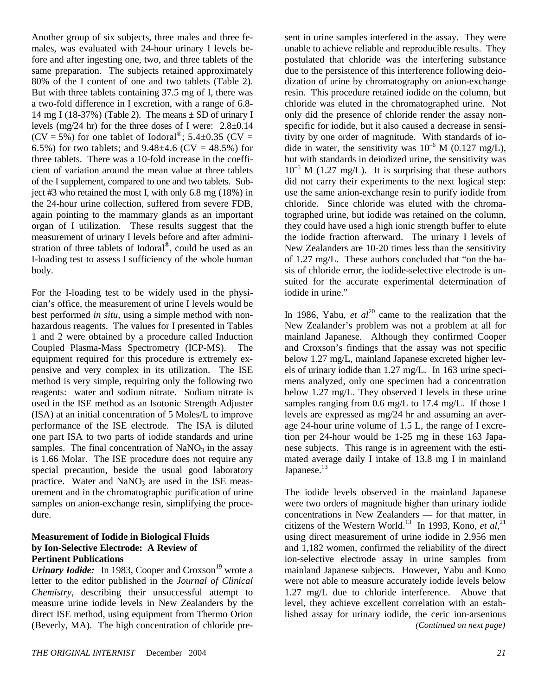Another group of six subjects, three males and three females, was evaluated with 24-hour urinary I levels before and after ingesting one, two, and three tablets of the same preparation. The subjects retained approximately 80% of the I content of one and two tablets (Table 2). But with three tablets containing 37.5 mg of I, there was a two-fold difference in I excretion, with a range of 6.8- 14 mg I (18-37%) (Table 2). The means  $\pm$  SD of urinary I levels (mg/24 hr) for the three doses of I were: 2.8±0.14  $(CV = 5\%)$  for one tablet of Iodoral<sup>®</sup>; 5.4±0.35 (CV = 6.5%) for two tablets; and  $9.48\pm4.6$  (CV = 48.5%) for three tablets. There was a 10-fold increase in the coefficient of variation around the mean value at three tablets of the I supplement, compared to one and two tablets. Subject #3 who retained the most I, with only 6.8 mg (18%) in the 24-hour urine collection, suffered from severe FDB, again pointing to the mammary glands as an important organ of I utilization. These results suggest that the measurement of urinary I levels before and after administration of three tablets of Iodoral®, could be used as an I-loading test to assess I sufficiency of the whole human body.

For the I-loading test to be widely used in the physician's office, the measurement of urine I levels would be best performed *in situ*, using a simple method with nonhazardous reagents. The values for I presented in Tables 1 and 2 were obtained by a procedure called Induction Coupled Plasma-Mass Spectrometry (ICP-MS). The equipment required for this procedure is extremely expensive and very complex in its utilization. The ISE method is very simple, requiring only the following two reagents: water and sodium nitrate. Sodium nitrate is used in the ISE method as an Isotonic Strength Adjuster (ISA) at an initial concentration of 5 Moles/L to improve performance of the ISE electrode. The ISA is diluted one part ISA to two parts of iodide standards and urine samples. The final concentration of  $NaNO<sub>3</sub>$  in the assay is 1.66 Molar. The ISE procedure does not require any special precaution, beside the usual good laboratory practice. Water and  $NaNO<sub>3</sub>$  are used in the ISE measurement and in the chromatographic purification of urine samples on anion-exchange resin, simplifying the procedure.

#### **Measurement of Iodide in Biological Fluids by Ion-Selective Electrode: A Review of Pertinent Publications**

*Urinary Iodide:* In 1983, Cooper and Croxson<sup>19</sup> wrote a letter to the editor published in the *Journal of Clinical Chemistry*, describing their unsuccessful attempt to measure urine iodide levels in New Zealanders by the direct ISE method, using equipment from Thermo Orion (Beverly, MA). The high concentration of chloride pre-

sent in urine samples interfered in the assay. They were unable to achieve reliable and reproducible results. They postulated that chloride was the interfering substance due to the persistence of this interference following deiodization of urine by chromatography on anion-exchange resin. This procedure retained iodide on the column, but chloride was eluted in the chromatographed urine. Not only did the presence of chloride render the assay nonspecific for iodide, but it also caused a decrease in sensitivity by one order of magnitude. With standards of iodide in water, the sensitivity was  $10^{-6}$  M (0.127 mg/L), but with standards in deiodized urine, the sensitivity was  $10^{-5}$  M (1.27 mg/L). It is surprising that these authors did not carry their experiments to the next logical step: use the same anion-exchange resin to purify iodide from chloride. Since chloride was eluted with the chromatographed urine, but iodide was retained on the column, they could have used a high ionic strength buffer to elute the iodide fraction afterward. The urinary I levels of New Zealanders are 10-20 times less than the sensitivity of 1.27 mg/L. These authors concluded that "on the basis of chloride error, the iodide-selective electrode is unsuited for the accurate experimental determination of iodide in urine."

In 1986, Yabu, *et al*<sup>20</sup> came to the realization that the New Zealander's problem was not a problem at all for mainland Japanese. Although they confirmed Cooper and Croxson's findings that the assay was not specific below 1.27 mg/L, mainland Japanese excreted higher levels of urinary iodide than 1.27 mg/L. In 163 urine specimens analyzed, only one specimen had a concentration below 1.27 mg/L. They observed I levels in these urine samples ranging from 0.6 mg/L to 17.4 mg/L. If those I levels are expressed as mg/24 hr and assuming an average 24-hour urine volume of 1.5 L, the range of I excretion per 24-hour would be 1-25 mg in these 163 Japanese subjects. This range is in agreement with the estimated average daily I intake of 13.8 mg I in mainland Japanese.<sup>13</sup>

The iodide levels observed in the mainland Japanese were two orders of magnitude higher than urinary iodide concentrations in New Zealanders — for that matter, in citizens of the Western World.<sup>13</sup> In 1993, Kono, *et al*,<sup>21</sup> using direct measurement of urine iodide in 2,956 men and 1,182 women, confirmed the reliability of the direct ion-selective electrode assay in urine samples from mainland Japanese subjects. However, Yabu and Kono were not able to measure accurately iodide levels below 1.27 mg/L due to chloride interference. Above that level, they achieve excellent correlation with an established assay for urinary iodide, the ceric ion-arsenious *(Continued on next page)*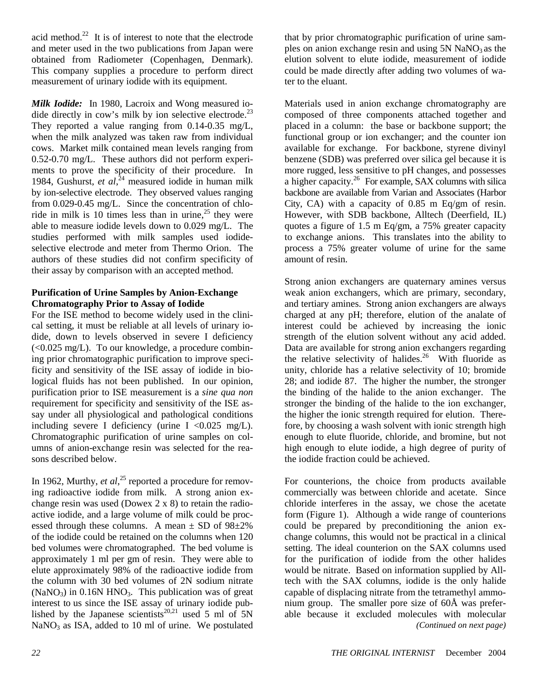acid method.<sup>22</sup> It is of interest to note that the electrode and meter used in the two publications from Japan were obtained from Radiometer (Copenhagen, Denmark). This company supplies a procedure to perform direct measurement of urinary iodide with its equipment.

*Milk Iodide:* In 1980, Lacroix and Wong measured iodide directly in cow's milk by ion selective electrode.<sup>23</sup> They reported a value ranging from 0.14-0.35 mg/L, when the milk analyzed was taken raw from individual cows. Market milk contained mean levels ranging from 0.52-0.70 mg/L. These authors did not perform experiments to prove the specificity of their procedure. In 1984, Gushurst, *et al*, 24 measured iodide in human milk by ion-selective electrode. They observed values ranging from 0.029-0.45 mg/L. Since the concentration of chloride in milk is 10 times less than in urine,<sup>25</sup> they were able to measure iodide levels down to 0.029 mg/L. The studies performed with milk samples used iodideselective electrode and meter from Thermo Orion. The authors of these studies did not confirm specificity of their assay by comparison with an accepted method.

### **Purification of Urine Samples by Anion-Exchange Chromatography Prior to Assay of Iodide**

For the ISE method to become widely used in the clinical setting, it must be reliable at all levels of urinary iodide, down to levels observed in severe I deficiency (<0.025 mg/L). To our knowledge, a procedure combining prior chromatographic purification to improve specificity and sensitivity of the ISE assay of iodide in biological fluids has not been published. In our opinion, purification prior to ISE measurement is a *sine qua non*  requirement for specificity and sensitivity of the ISE assay under all physiological and pathological conditions including severe I deficiency (urine I  $\langle 0.025 \text{ mg/L} \rangle$ . Chromatographic purification of urine samples on columns of anion-exchange resin was selected for the reasons described below.

In 1962, Murthy, *et al*,<sup>25</sup> reported a procedure for removing radioactive iodide from milk. A strong anion exchange resin was used (Dowex 2 x 8) to retain the radioactive iodide, and a large volume of milk could be processed through these columns. A mean  $\pm$  SD of 98 $\pm$ 2% of the iodide could be retained on the columns when 120 bed volumes were chromatographed. The bed volume is approximately 1 ml per gm of resin. They were able to elute approximately 98% of the radioactive iodide from the column with 30 bed volumes of 2N sodium nitrate  $(NaNO<sub>3</sub>)$  in 0.16N HNO<sub>3</sub>. This publication was of great interest to us since the ISE assay of urinary iodide published by the Japanese scientists<sup>20,21</sup> used 5 ml of 5N  $NaNO<sub>3</sub>$  as ISA, added to 10 ml of urine. We postulated

that by prior chromatographic purification of urine samples on anion exchange resin and using  $5N$  NaNO<sub>3</sub> as the elution solvent to elute iodide, measurement of iodide could be made directly after adding two volumes of water to the eluant.

Materials used in anion exchange chromatography are composed of three components attached together and placed in a column: the base or backbone support; the functional group or ion exchanger; and the counter ion available for exchange. For backbone, styrene divinyl benzene (SDB) was preferred over silica gel because it is more rugged, less sensitive to pH changes, and possesses a higher capacity.<sup>26</sup> For example, SAX columns with silica backbone are available from Varian and Associates (Harbor City, CA) with a capacity of 0.85 m Eq/gm of resin. However, with SDB backbone, Alltech (Deerfield, IL) quotes a figure of 1.5 m Eq/gm, a 75% greater capacity to exchange anions. This translates into the ability to process a 75% greater volume of urine for the same amount of resin.

Strong anion exchangers are quaternary amines versus weak anion exchangers, which are primary, secondary, and tertiary amines. Strong anion exchangers are always charged at any pH; therefore, elution of the analate of interest could be achieved by increasing the ionic strength of the elution solvent without any acid added. Data are available for strong anion exchangers regarding the relative selectivity of halides.<sup>26</sup> With fluoride as unity, chloride has a relative selectivity of 10; bromide 28; and iodide 87. The higher the number, the stronger the binding of the halide to the anion exchanger. The stronger the binding of the halide to the ion exchanger, the higher the ionic strength required for elution. Therefore, by choosing a wash solvent with ionic strength high enough to elute fluoride, chloride, and bromine, but not high enough to elute iodide, a high degree of purity of the iodide fraction could be achieved.

For counterions, the choice from products available commercially was between chloride and acetate. Since chloride interferes in the assay, we chose the acetate form (Figure 1). Although a wide range of counterions could be prepared by preconditioning the anion exchange columns, this would not be practical in a clinical setting. The ideal counterion on the SAX columns used for the purification of iodide from the other halides would be nitrate. Based on information supplied by Alltech with the SAX columns, iodide is the only halide capable of displacing nitrate from the tetramethyl ammonium group. The smaller pore size of 60Å was preferable because it excluded molecules with molecular *(Continued on next page)*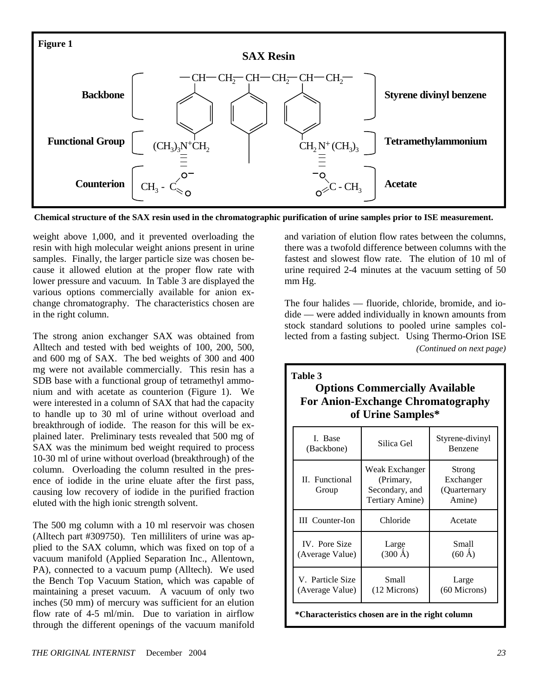

**Chemical structure of the SAX resin used in the chromatographic purification of urine samples prior to ISE measurement.** 

weight above 1,000, and it prevented overloading the resin with high molecular weight anions present in urine samples. Finally, the larger particle size was chosen because it allowed elution at the proper flow rate with lower pressure and vacuum. In Table 3 are displayed the various options commercially available for anion exchange chromatography. The characteristics chosen are in the right column.

The strong anion exchanger SAX was obtained from Alltech and tested with bed weights of 100, 200, 500, and 600 mg of SAX. The bed weights of 300 and 400 mg were not available commercially. This resin has a SDB base with a functional group of tetramethyl ammonium and with acetate as counterion (Figure 1). We were interested in a column of SAX that had the capacity to handle up to 30 ml of urine without overload and breakthrough of iodide. The reason for this will be explained later. Preliminary tests revealed that 500 mg of SAX was the minimum bed weight required to process 10-30 ml of urine without overload (breakthrough) of the column. Overloading the column resulted in the presence of iodide in the urine eluate after the first pass, causing low recovery of iodide in the purified fraction eluted with the high ionic strength solvent.

The 500 mg column with a 10 ml reservoir was chosen (Alltech part #309750). Ten milliliters of urine was applied to the SAX column, which was fixed on top of a vacuum manifold (Applied Separation Inc., Allentown, PA), connected to a vacuum pump (Alltech). We used the Bench Top Vacuum Station, which was capable of maintaining a preset vacuum. A vacuum of only two inches (50 mm) of mercury was sufficient for an elution flow rate of 4-5 ml/min. Due to variation in airflow through the different openings of the vacuum manifold and variation of elution flow rates between the columns, there was a twofold difference between columns with the fastest and slowest flow rate. The elution of 10 ml of urine required 2-4 minutes at the vacuum setting of 50 mm Hg.

The four halides — fluoride, chloride, bromide, and iodide — were added individually in known amounts from stock standard solutions to pooled urine samples collected from a fasting subject. Using Thermo-Orion ISE *(Continued on next page)* 

| Table 3<br><b>Options Commercially Available</b><br><b>For Anion-Exchange Chromatography</b><br>of Urine Samples* |                                                                  |                                               |  |  |  |  |
|-------------------------------------------------------------------------------------------------------------------|------------------------------------------------------------------|-----------------------------------------------|--|--|--|--|
| I. Base<br>(Backbone)                                                                                             | Silica Gel                                                       | Styrene-divinyl<br>Benzene                    |  |  |  |  |
| <b>II.</b> Functional<br>Group                                                                                    | Weak Exchanger<br>(Primary,<br>Secondary, and<br>Tertiary Amine) | Strong<br>Exchanger<br>(Quarternary<br>Amine) |  |  |  |  |
| <b>III</b> Counter-Ion                                                                                            | Chloride                                                         | Acetate                                       |  |  |  |  |
| IV. Pore Size                                                                                                     | Large                                                            | Small                                         |  |  |  |  |

 $(300 \text{ Å})$ 

(Average Value)

 $(60 \text{ Å})$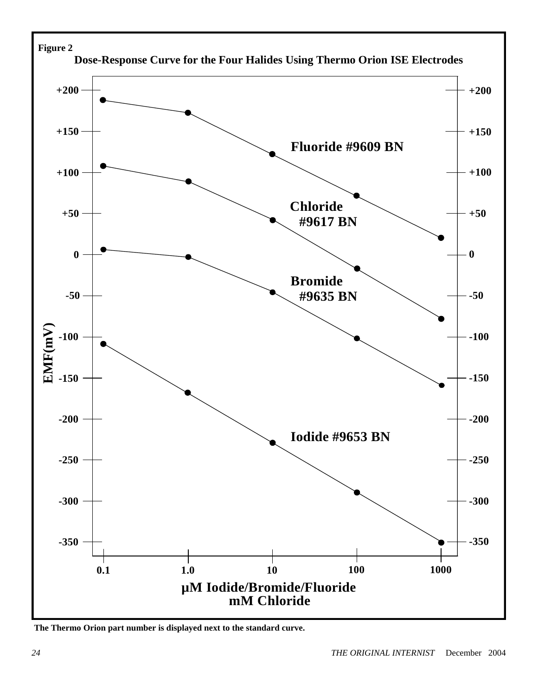

**The Thermo Orion part number is displayed next to the standard curve.**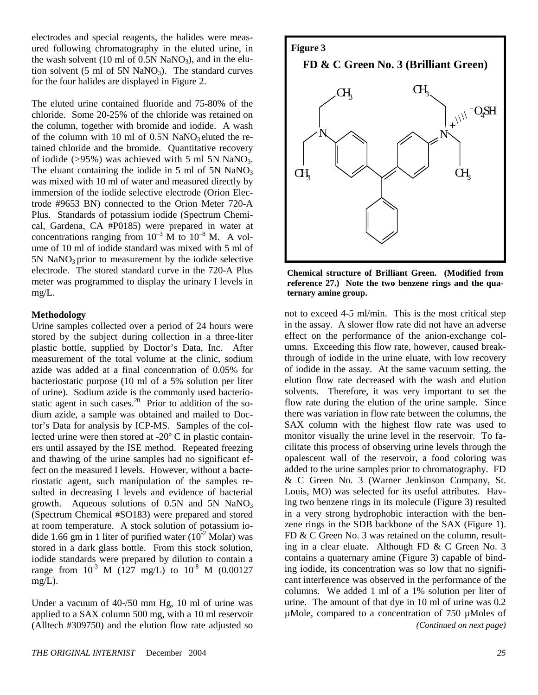electrodes and special reagents, the halides were measured following chromatography in the eluted urine, in the wash solvent (10 ml of 0.5N NaNO<sub>3</sub>), and in the elution solvent (5 ml of 5N NaNO<sub>3</sub>). The standard curves for the four halides are displayed in Figure 2.

The eluted urine contained fluoride and 75-80% of the chloride. Some 20-25% of the chloride was retained on the column, together with bromide and iodide. A wash of the column with 10 ml of  $0.5N$  NaNO<sub>3</sub> eluted the retained chloride and the bromide. Quantitative recovery of iodide ( $>95\%$ ) was achieved with 5 ml 5N NaNO<sub>3</sub>. The eluant containing the iodide in 5 ml of 5N  $NaNO<sub>3</sub>$ was mixed with 10 ml of water and measured directly by immersion of the iodide selective electrode (Orion Electrode #9653 BN) connected to the Orion Meter 720-A Plus. Standards of potassium iodide (Spectrum Chemical, Gardena, CA #P0185) were prepared in water at concentrations ranging from  $10^{-3}$  M to  $10^{-8}$  M. A volume of 10 ml of iodide standard was mixed with 5 ml of  $5N$  NaNO<sub>3</sub> prior to measurement by the iodide selective electrode. The stored standard curve in the 720-A Plus meter was programmed to display the urinary I levels in mg/L.

#### **Methodology**

Urine samples collected over a period of 24 hours were stored by the subject during collection in a three-liter plastic bottle, supplied by Doctor's Data, Inc. After measurement of the total volume at the clinic, sodium azide was added at a final concentration of 0.05% for bacteriostatic purpose (10 ml of a 5% solution per liter of urine). Sodium azide is the commonly used bacteriostatic agent in such cases. $20$  Prior to addition of the sodium azide, a sample was obtained and mailed to Doctor's Data for analysis by ICP-MS. Samples of the collected urine were then stored at -20º C in plastic containers until assayed by the ISE method. Repeated freezing and thawing of the urine samples had no significant effect on the measured I levels. However, without a bacteriostatic agent, such manipulation of the samples resulted in decreasing I levels and evidence of bacterial growth. Aqueous solutions of  $0.5N$  and  $5N$  NaNO<sub>3</sub> (Spectrum Chemical #SO183) were prepared and stored at room temperature. A stock solution of potassium iodide 1.66 gm in 1 liter of purified water  $(10^{-2} \text{ Molar})$  was stored in a dark glass bottle. From this stock solution, iodide standards were prepared by dilution to contain a range from  $10^{-3}$  M (127 mg/L) to  $10^{-8}$  M (0.00127  $mg/L$ ).

Under a vacuum of 40-/50 mm Hg, 10 ml of urine was applied to a SAX column 500 mg, with a 10 ml reservoir (Alltech #309750) and the elution flow rate adjusted so



**Chemical structure of Brilliant Green. (Modified from reference 27.) Note the two benzene rings and the quaternary amine group.** 

not to exceed 4-5 ml/min. This is the most critical step in the assay. A slower flow rate did not have an adverse effect on the performance of the anion-exchange columns. Exceeding this flow rate, however, caused breakthrough of iodide in the urine eluate, with low recovery of iodide in the assay. At the same vacuum setting, the elution flow rate decreased with the wash and elution solvents. Therefore, it was very important to set the flow rate during the elution of the urine sample. Since there was variation in flow rate between the columns, the SAX column with the highest flow rate was used to monitor visually the urine level in the reservoir. To facilitate this process of observing urine levels through the opalescent wall of the reservoir, a food coloring was added to the urine samples prior to chromatography. FD & C Green No. 3 (Warner Jenkinson Company, St. Louis, MO) was selected for its useful attributes. Having two benzene rings in its molecule (Figure 3) resulted in a very strong hydrophobic interaction with the benzene rings in the SDB backbone of the SAX (Figure 1). FD & C Green No. 3 was retained on the column, resulting in a clear eluate. Although FD & C Green No. 3 contains a quaternary amine (Figure 3) capable of binding iodide, its concentration was so low that no significant interference was observed in the performance of the columns. We added 1 ml of a 1% solution per liter of urine. The amount of that dye in 10 ml of urine was 0.2 µMole, compared to a concentration of 750 µMoles of *(Continued on next page)*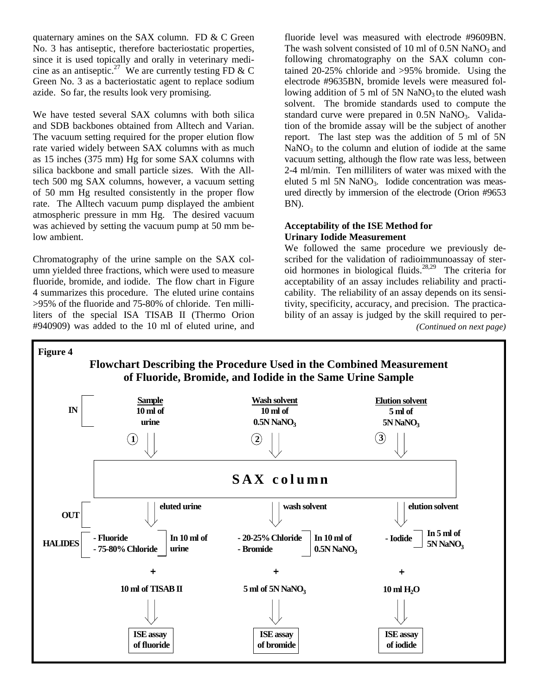quaternary amines on the SAX column. FD & C Green No. 3 has antiseptic, therefore bacteriostatic properties, since it is used topically and orally in veterinary medicine as an antiseptic.<sup>27</sup> We are currently testing FD & C Green No. 3 as a bacteriostatic agent to replace sodium azide. So far, the results look very promising.

We have tested several SAX columns with both silica and SDB backbones obtained from Alltech and Varian. The vacuum setting required for the proper elution flow rate varied widely between SAX columns with as much as 15 inches (375 mm) Hg for some SAX columns with silica backbone and small particle sizes. With the Alltech 500 mg SAX columns, however, a vacuum setting of 50 mm Hg resulted consistently in the proper flow rate. The Alltech vacuum pump displayed the ambient atmospheric pressure in mm Hg. The desired vacuum was achieved by setting the vacuum pump at 50 mm below ambient.

Chromatography of the urine sample on the SAX column yielded three fractions, which were used to measure fluoride, bromide, and iodide. The flow chart in Figure 4 summarizes this procedure. The eluted urine contains >95% of the fluoride and 75-80% of chloride. Ten milliliters of the special ISA TISAB II (Thermo Orion #940909) was added to the 10 ml of eluted urine, and

fluoride level was measured with electrode #9609BN. The wash solvent consisted of 10 ml of  $0.5N$  NaNO<sub>3</sub> and following chromatography on the SAX column contained 20-25% chloride and >95% bromide. Using the electrode #9635BN, bromide levels were measured following addition of 5 ml of 5N  $\text{NaNO}_3$  to the eluted wash solvent. The bromide standards used to compute the standard curve were prepared in  $0.5N$  NaNO<sub>3</sub>. Validation of the bromide assay will be the subject of another report. The last step was the addition of 5 ml of 5N  $NaNO<sub>3</sub>$  to the column and elution of iodide at the same vacuum setting, although the flow rate was less, between 2-4 ml/min. Ten milliliters of water was mixed with the eluted 5 ml 5N  $NaNO<sub>3</sub>$ . Iodide concentration was measured directly by immersion of the electrode (Orion #9653 BN).

#### **Acceptability of the ISE Method for Urinary Iodide Measurement**

We followed the same procedure we previously described for the validation of radioimmunoassay of steroid hormones in biological fluids.<sup>28,29</sup> The criteria for acceptability of an assay includes reliability and practicability. The reliability of an assay depends on its sensitivity, specificity, accuracy, and precision. The practicability of an assay is judged by the skill required to per- *(Continued on next page)* 

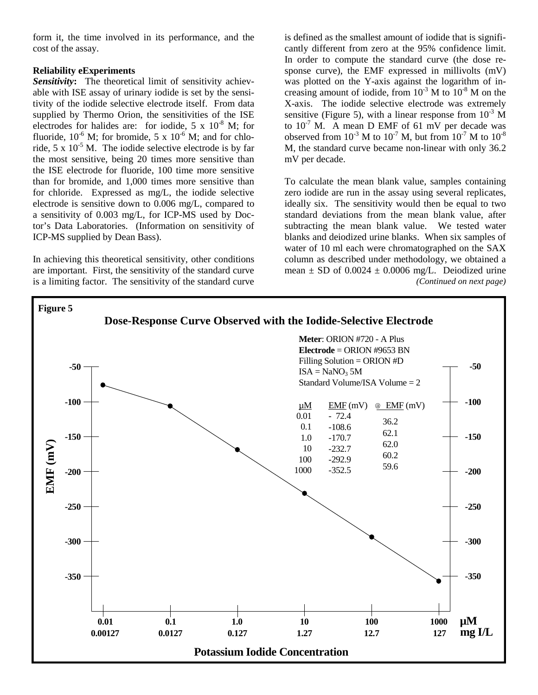form it, the time involved in its performance, and the cost of the assay.

### **Reliability eExperiments**

*Sensitivity***:**The theoretical limit of sensitivity achievable with ISE assay of urinary iodide is set by the sensitivity of the iodide selective electrode itself. From data supplied by Thermo Orion, the sensitivities of the ISE electrodes for halides are: for iodide,  $5 \times 10^{-8}$  M; for fluoride,  $10^{-6}$  M; for bromide, 5 x  $10^{-6}$  M; and for chloride,  $5 \times 10^{-5}$  M. The iodide selective electrode is by far the most sensitive, being 20 times more sensitive than the ISE electrode for fluoride, 100 time more sensitive than for bromide, and 1,000 times more sensitive than for chloride. Expressed as mg/L, the iodide selective electrode is sensitive down to 0.006 mg/L, compared to a sensitivity of 0.003 mg/L, for ICP-MS used by Doctor's Data Laboratories. (Information on sensitivity of ICP-MS supplied by Dean Bass).

In achieving this theoretical sensitivity, other conditions are important. First, the sensitivity of the standard curve is a limiting factor. The sensitivity of the standard curve

is defined as the smallest amount of iodide that is significantly different from zero at the 95% confidence limit. In order to compute the standard curve (the dose response curve), the EMF expressed in millivolts (mV) was plotted on the Y-axis against the logarithm of increasing amount of iodide, from  $10^{-3}$  M to  $10^{-8}$  M on the X-axis. The iodide selective electrode was extremely sensitive (Figure 5), with a linear response from  $10^{-3}$  M to  $10^{-7}$  M. A mean D EMF of 61 mV per decade was observed from  $10^{-3}$  M to  $10^{-7}$  M, but from  $10^{-7}$  M to  $10^{-8}$ M, the standard curve became non-linear with only 36.2 mV per decade.

To calculate the mean blank value, samples containing zero iodide are run in the assay using several replicates, ideally six. The sensitivity would then be equal to two standard deviations from the mean blank value, after subtracting the mean blank value. We tested water blanks and deiodized urine blanks. When six samples of water of 10 ml each were chromatographed on the SAX column as described under methodology, we obtained a mean  $\pm$  SD of 0.0024  $\pm$  0.0006 mg/L. Deiodized urine *(Continued on next page)* 

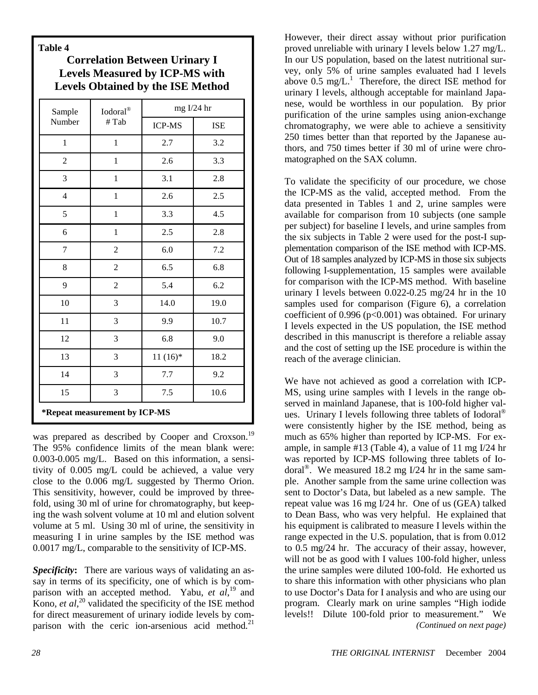**Table 4** 

**Correlation Between Urinary I Levels Measured by ICP-MS with Levels Obtained by the ISE Method** 

| Sample                        | Iodoral®<br># Tab | mg I/24 hr    |            |  |
|-------------------------------|-------------------|---------------|------------|--|
| Number                        |                   | <b>ICP-MS</b> | <b>ISE</b> |  |
| $\mathbf{1}$                  | $\mathbf{1}$      | $2.7\,$       | 3.2        |  |
| $\overline{2}$                | $\mathbf{1}$      | 2.6           | 3.3        |  |
| 3                             | $\mathbf{1}$      | 3.1           | $2.8\,$    |  |
| 4                             | $\mathbf{1}$      | 2.6           | 2.5        |  |
| 5                             | $\mathbf{1}$      | 3.3           | 4.5        |  |
| 6                             | $\mathbf{1}$      | $2.5\,$       | 2.8        |  |
| 7                             | $\overline{c}$    | 6.0           | $7.2\,$    |  |
| 8                             | $\overline{2}$    | 6.5           | 6.8        |  |
| 9                             | $\overline{2}$    | 5.4           | 6.2        |  |
| 10                            | 3                 | 14.0          | 19.0       |  |
| 11                            | 3                 | 9.9           | 10.7       |  |
| 12                            | 3                 | 6.8           | 9.0        |  |
| 13                            | 3                 | $11(16)*$     | 18.2       |  |
| 14                            | 3                 | 7.7           | 9.2        |  |
| 15                            | 3                 | $7.5$         | 10.6       |  |
| *Repeat measurement by ICP-MS |                   |               |            |  |

was prepared as described by Cooper and Croxson.<sup>19</sup> The 95% confidence limits of the mean blank were: 0.003-0.005 mg/L. Based on this information, a sensitivity of 0.005 mg/L could be achieved, a value very close to the 0.006 mg/L suggested by Thermo Orion. This sensitivity, however, could be improved by threefold, using 30 ml of urine for chromatography, but keeping the wash solvent volume at 10 ml and elution solvent volume at 5 ml. Using 30 ml of urine, the sensitivity in measuring I in urine samples by the ISE method was 0.0017 mg/L, comparable to the sensitivity of ICP-MS.

*Specificity***:** There are various ways of validating an assay in terms of its specificity, one of which is by comparison with an accepted method. Yabu, *et al*, 19 and Kono, *et al*, 20 validated the specificity of the ISE method for direct measurement of urinary iodide levels by comparison with the ceric ion-arsenious acid method. $21$ 

However, their direct assay without prior purification proved unreliable with urinary I levels below 1.27 mg/L. In our US population, based on the latest nutritional survey, only 5% of urine samples evaluated had I levels above  $0.5 \text{ mg/L}$ .<sup>1</sup> Therefore, the direct ISE method for urinary I levels, although acceptable for mainland Japanese, would be worthless in our population. By prior purification of the urine samples using anion-exchange chromatography, we were able to achieve a sensitivity 250 times better than that reported by the Japanese authors, and 750 times better if 30 ml of urine were chromatographed on the SAX column.

To validate the specificity of our procedure, we chose the ICP-MS as the valid, accepted method. From the data presented in Tables 1 and 2, urine samples were available for comparison from 10 subjects (one sample per subject) for baseline I levels, and urine samples from the six subjects in Table 2 were used for the post-I supplementation comparison of the ISE method with ICP-MS. Out of 18 samples analyzed by ICP-MS in those six subjects following I-supplementation, 15 samples were available for comparison with the ICP-MS method. With baseline urinary I levels between 0.022-0.25 mg/24 hr in the 10 samples used for comparison (Figure 6), a correlation coefficient of  $0.996$  ( $p<0.001$ ) was obtained. For urinary I levels expected in the US population, the ISE method described in this manuscript is therefore a reliable assay and the cost of setting up the ISE procedure is within the reach of the average clinician.

We have not achieved as good a correlation with ICP-MS, using urine samples with I levels in the range observed in mainland Japanese, that is 100-fold higher values. Urinary I levels following three tablets of Iodoral® were consistently higher by the ISE method, being as much as 65% higher than reported by ICP-MS. For example, in sample #13 (Table 4), a value of 11 mg I/24 hr was reported by ICP-MS following three tablets of Iodoral<sup>®</sup>. We measured 18.2 mg I/24 hr in the same sample. Another sample from the same urine collection was sent to Doctor's Data, but labeled as a new sample. The repeat value was 16 mg I/24 hr. One of us (GEA) talked to Dean Bass, who was very helpful. He explained that his equipment is calibrated to measure I levels within the range expected in the U.S. population, that is from 0.012 to 0.5 mg/24 hr. The accuracy of their assay, however, will not be as good with I values 100-fold higher, unless the urine samples were diluted 100-fold. He exhorted us to share this information with other physicians who plan to use Doctor's Data for I analysis and who are using our program. Clearly mark on urine samples "High iodide levels!! Dilute 100-fold prior to measurement." We *(Continued on next page)*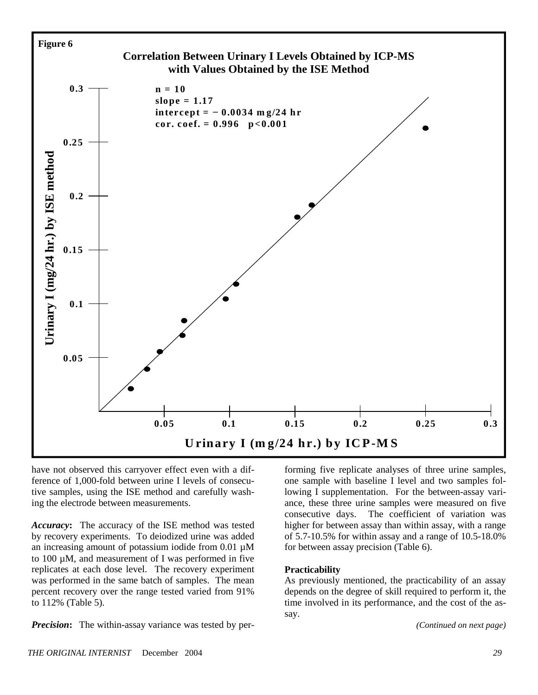

have not observed this carryover effect even with a difference of 1,000-fold between urine I levels of consecutive samples, using the ISE method and carefully washing the electrode between measurements.

*Accuracy***:** The accuracy of the ISE method was tested by recovery experiments. To deiodized urine was added an increasing amount of potassium iodide from 0.01 µM to 100 µM, and measurement of I was performed in five replicates at each dose level. The recovery experiment was performed in the same batch of samples. The mean percent recovery over the range tested varied from 91% to 112% (Table 5).

*Precision*: The within-assay variance was tested by per-

forming five replicate analyses of three urine samples, one sample with baseline I level and two samples following I supplementation. For the between-assay variance, these three urine samples were measured on five consecutive days. The coefficient of variation was higher for between assay than within assay, with a range of 5.7-10.5% for within assay and a range of 10.5-18.0% for between assay precision (Table 6).

#### **Practicability**

As previously mentioned, the practicability of an assay depends on the degree of skill required to perform it, the time involved in its performance, and the cost of the assay.

*(Continued on next page)*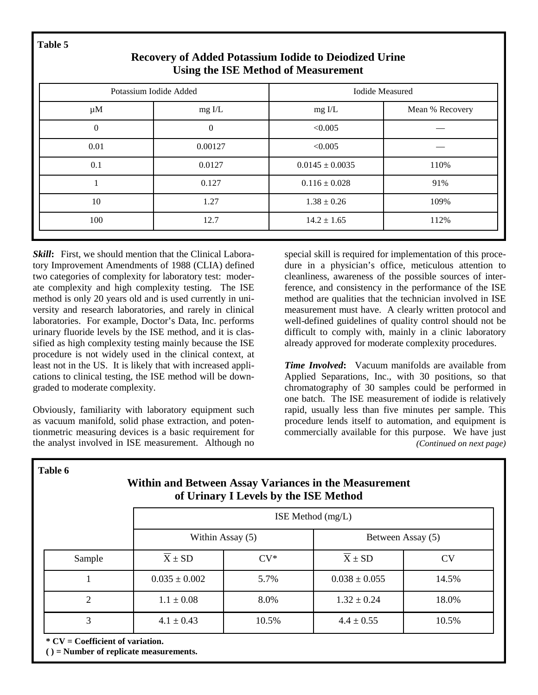Potassium Iodide Added **Iodia Iodide Added** Iodide Measured  $\mu$ M mg I/L mg I/L mg I/L mg I/L Mean % Recovery 0 0  $\leq 0.005$   $\qquad \qquad 0.01$  0.00127  $< 0.005$   $-$ 0.1 0.0127 0.0145  $\pm$  0.0035 110% 1 0.127 0.116  $\pm$  0.028 91% 10  $1.27$   $1.38 \pm 0.26$   $109\%$  $100$  12.7 14.2  $\pm 1.65$  112%

# **Recovery of Added Potassium Iodide to Deiodized Urine Using the ISE Method of Measurement**

*Skill***:** First, we should mention that the Clinical Laboratory Improvement Amendments of 1988 (CLIA) defined two categories of complexity for laboratory test: moderate complexity and high complexity testing. The ISE method is only 20 years old and is used currently in university and research laboratories, and rarely in clinical laboratories. For example, Doctor's Data, Inc. performs urinary fluoride levels by the ISE method, and it is classified as high complexity testing mainly because the ISE procedure is not widely used in the clinical context, at least not in the US. It is likely that with increased applications to clinical testing, the ISE method will be downgraded to moderate complexity.

Obviously, familiarity with laboratory equipment such as vacuum manifold, solid phase extraction, and potentionmetric measuring devices is a basic requirement for the analyst involved in ISE measurement. Although no special skill is required for implementation of this procedure in a physician's office, meticulous attention to cleanliness, awareness of the possible sources of interference, and consistency in the performance of the ISE method are qualities that the technician involved in ISE measurement must have. A clearly written protocol and well-defined guidelines of quality control should not be difficult to comply with, mainly in a clinic laboratory already approved for moderate complexity procedures.

*Time Involved***:** Vacuum manifolds are available from Applied Separations, Inc., with 30 positions, so that chromatography of 30 samples could be performed in one batch. The ISE measurement of iodide is relatively rapid, usually less than five minutes per sample. This procedure lends itself to automation, and equipment is commercially available for this purpose. We have just *(Continued on next page)* 

**Within and Between Assay Variances in the Measurement of Urinary I Levels by the ISE Method**  ISE Method (mg/L) Within Assay (5) Sample  $X \pm SD$   $CV^*$   $X \pm SD$   $CV$ 1 0.035  $\pm 0.002$  5.7% 0.038  $\pm 0.055$  14.5% 2 1.1  $\pm$  0.08 8.0% 1.32  $\pm$  0.24 18.0% 3 4.1  $\pm$  0.43 10.5% 4.4  $\pm$  0.55 10.5% Between Assay (5)

**\* CV = Coefficient of variation.** 

**( ) = Number of replicate measurements.** 

**Table 6**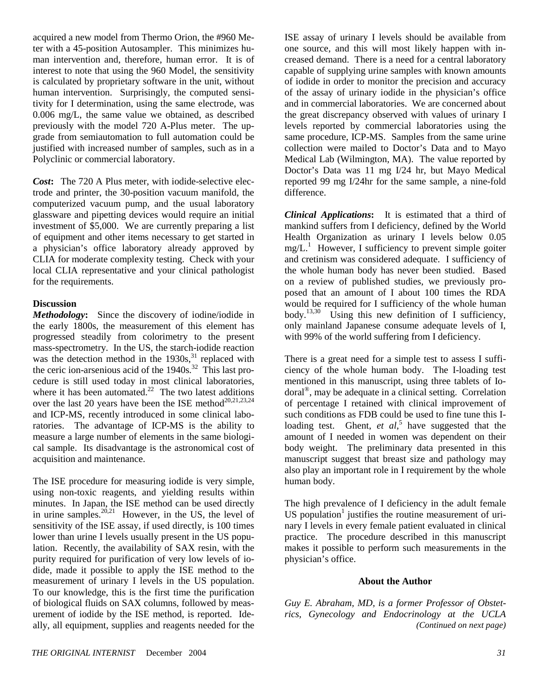acquired a new model from Thermo Orion, the #960 Meter with a 45-position Autosampler. This minimizes human intervention and, therefore, human error. It is of interest to note that using the 960 Model, the sensitivity is calculated by proprietary software in the unit, without human intervention. Surprisingly, the computed sensitivity for I determination, using the same electrode, was 0.006 mg/L, the same value we obtained, as described previously with the model 720 A-Plus meter. The upgrade from semiautomation to full automation could be justified with increased number of samples, such as in a Polyclinic or commercial laboratory.

*Cost***:** The 720 A Plus meter, with iodide-selective electrode and printer, the 30-position vacuum manifold, the computerized vacuum pump, and the usual laboratory glassware and pipetting devices would require an initial investment of \$5,000. We are currently preparing a list of equipment and other items necessary to get started in a physician's office laboratory already approved by CLIA for moderate complexity testing. Check with your local CLIA representative and your clinical pathologist for the requirements.

### **Discussion**

*Methodology***:** Since the discovery of iodine/iodide in the early 1800s, the measurement of this element has progressed steadily from colorimetry to the present mass-spectrometry. In the US, the starch-iodide reaction was the detection method in the  $1930s$ , <sup>31</sup> replaced with the ceric ion-arsenious acid of the  $1940s$ .<sup>32</sup> This last procedure is still used today in most clinical laboratories, where it has been automated.<sup>22</sup> The two latest additions over the last 20 years have been the ISE method<sup>20,21,23,24</sup> and ICP-MS, recently introduced in some clinical laboratories. The advantage of ICP-MS is the ability to measure a large number of elements in the same biological sample. Its disadvantage is the astronomical cost of acquisition and maintenance.

The ISE procedure for measuring iodide is very simple, using non-toxic reagents, and yielding results within minutes. In Japan, the ISE method can be used directly in urine samples.<sup>20,21</sup> However, in the US, the level of sensitivity of the ISE assay, if used directly, is 100 times lower than urine I levels usually present in the US population. Recently, the availability of SAX resin, with the purity required for purification of very low levels of iodide, made it possible to apply the ISE method to the measurement of urinary I levels in the US population. To our knowledge, this is the first time the purification of biological fluids on SAX columns, followed by measurement of iodide by the ISE method, is reported. Ideally, all equipment, supplies and reagents needed for the

ISE assay of urinary I levels should be available from one source, and this will most likely happen with increased demand. There is a need for a central laboratory capable of supplying urine samples with known amounts of iodide in order to monitor the precision and accuracy of the assay of urinary iodide in the physician's office and in commercial laboratories. We are concerned about the great discrepancy observed with values of urinary I levels reported by commercial laboratories using the same procedure, ICP-MS. Samples from the same urine collection were mailed to Doctor's Data and to Mayo Medical Lab (Wilmington, MA). The value reported by Doctor's Data was 11 mg I/24 hr, but Mayo Medical reported 99 mg I/24hr for the same sample, a nine-fold difference.

*Clinical Applications***:** It is estimated that a third of mankind suffers from I deficiency, defined by the World Health Organization as urinary I levels below 0.05  $mg/L$ <sup>1</sup> However, I sufficiency to prevent simple goiter and cretinism was considered adequate. I sufficiency of the whole human body has never been studied. Based on a review of published studies, we previously proposed that an amount of I about 100 times the RDA would be required for I sufficiency of the whole human body.<sup>13,30</sup> Using this new definition of I sufficiency, only mainland Japanese consume adequate levels of I, with 99% of the world suffering from I deficiency.

There is a great need for a simple test to assess I sufficiency of the whole human body. The I-loading test mentioned in this manuscript, using three tablets of Iodoral®, may be adequate in a clinical setting. Correlation of percentage I retained with clinical improvement of such conditions as FDB could be used to fine tune this Iloading test. Ghent, *et al*,<sup>5</sup> have suggested that the amount of I needed in women was dependent on their body weight. The preliminary data presented in this manuscript suggest that breast size and pathology may also play an important role in I requirement by the whole human body.

The high prevalence of I deficiency in the adult female US population<sup>1</sup> justifies the routine measurement of urinary I levels in every female patient evaluated in clinical practice. The procedure described in this manuscript makes it possible to perform such measurements in the physician's office.

#### **About the Author**

*Guy E. Abraham, MD, is a former Professor of Obstetrics, Gynecology and Endocrinology at the UCLA (Continued on next page)*